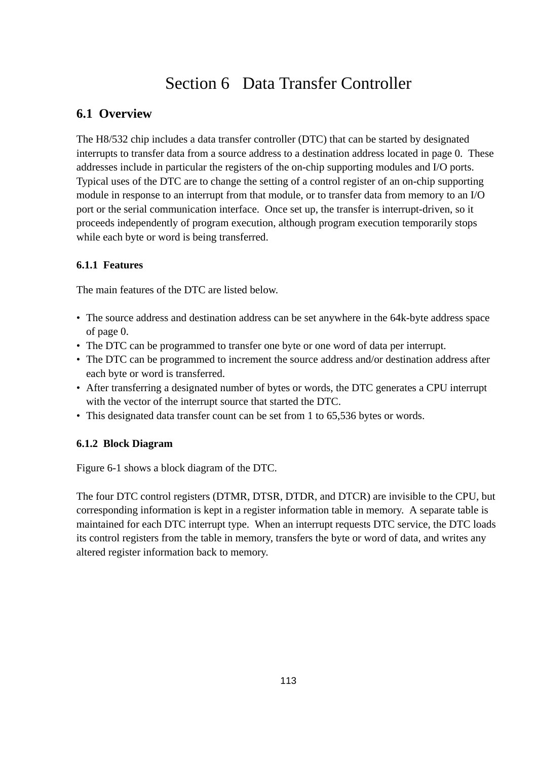# Section 6 Data Transfer Controller

## **6.1 Overview**

The H8/532 chip includes a data transfer controller (DTC) that can be started by designated interrupts to transfer data from a source address to a destination address located in page 0. These addresses include in particular the registers of the on-chip supporting modules and I/O ports. Typical uses of the DTC are to change the setting of a control register of an on-chip supporting module in response to an interrupt from that module, or to transfer data from memory to an I/O port or the serial communication interface. Once set up, the transfer is interrupt-driven, so it proceeds independently of program execution, although program execution temporarily stops while each byte or word is being transferred.

#### **6.1.1 Features**

The main features of the DTC are listed below.

- The source address and destination address can be set anywhere in the 64k-byte address space of page 0.
- The DTC can be programmed to transfer one byte or one word of data per interrupt.
- The DTC can be programmed to increment the source address and/or destination address after each byte or word is transferred.
- After transferring a designated number of bytes or words, the DTC generates a CPU interrupt with the vector of the interrupt source that started the DTC.
- This designated data transfer count can be set from 1 to 65,536 bytes or words.

#### **6.1.2 Block Diagram**

Figure 6-1 shows a block diagram of the DTC.

The four DTC control registers (DTMR, DTSR, DTDR, and DTCR) are invisible to the CPU, but corresponding information is kept in a register information table in memory. A separate table is maintained for each DTC interrupt type. When an interrupt requests DTC service, the DTC loads its control registers from the table in memory, transfers the byte or word of data, and writes any altered register information back to memory.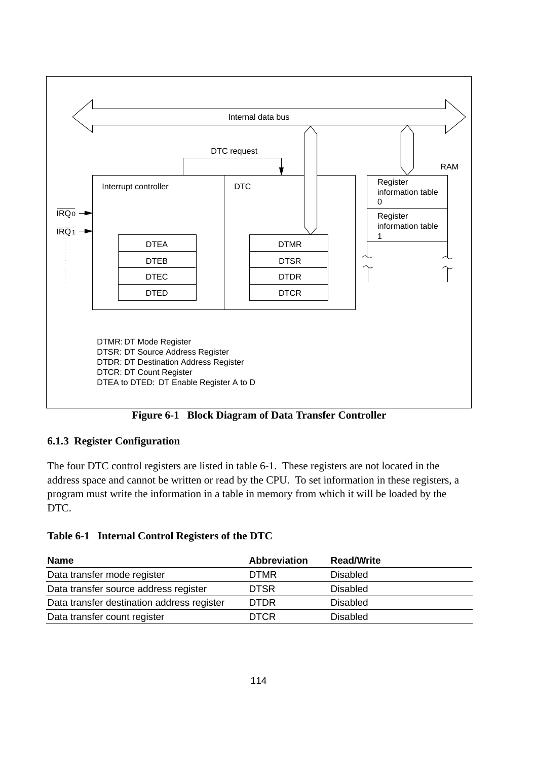



#### **6.1.3 Register Configuration**

The four DTC control registers are listed in table 6-1. These registers are not located in the address space and cannot be written or read by the CPU. To set information in these registers, a program must write the information in a table in memory from which it will be loaded by the DTC.

| Table 6-1 Internal Control Registers of the DTC |  |  |  |  |  |
|-------------------------------------------------|--|--|--|--|--|
|-------------------------------------------------|--|--|--|--|--|

| <b>Name</b>                                | <b>Abbreviation</b> | <b>Read/Write</b> |
|--------------------------------------------|---------------------|-------------------|
| Data transfer mode register                | <b>DTMR</b>         | Disabled          |
| Data transfer source address register      | <b>DTSR</b>         | Disabled          |
| Data transfer destination address register | <b>DTDR</b>         | <b>Disabled</b>   |
| Data transfer count register               | <b>DTCR</b>         | <b>Disabled</b>   |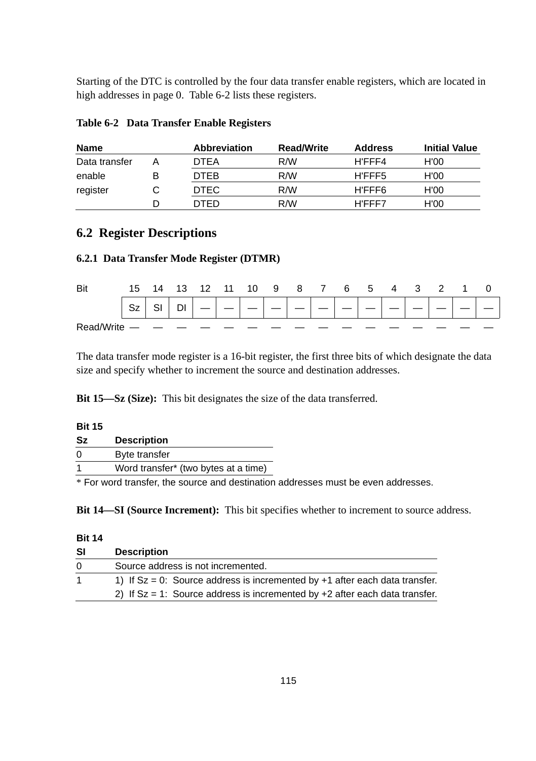Starting of the DTC is controlled by the four data transfer enable registers, which are located in high addresses in page 0. Table 6-2 lists these registers.

| <b>Name</b>   | <b>Abbreviation</b> | <b>Read/Write</b> | <b>Address</b> | <b>Initial Value</b> |
|---------------|---------------------|-------------------|----------------|----------------------|
| Data transfer | <b>DTEA</b>         | R/W               | H'FFF4         | H'00                 |
| enable        | <b>DTEB</b>         | R/W               | H'FFF5         | H'00                 |
| register      | <b>DTEC</b>         | R/W               | H'FFF6         | H'00                 |
|               | DTED                | R/M               | H'FFF7         | H'00                 |

| Table 6-2 Data Transfer Enable Registers |  |  |  |  |
|------------------------------------------|--|--|--|--|
|------------------------------------------|--|--|--|--|

### **6.2 Register Descriptions**

#### **6.2.1 Data Transfer Mode Register (DTMR)**

| Bit        | 15        | 14 13 | 12 11 | 10 | 987 |  | $6\quad 5\quad 7$ | -4 | -3 |  |  |
|------------|-----------|-------|-------|----|-----|--|-------------------|----|----|--|--|
|            | <b>Sz</b> | DI    |       |    |     |  |                   |    |    |  |  |
| Read/Write |           |       |       |    |     |  |                   |    |    |  |  |

The data transfer mode register is a 16-bit register, the first three bits of which designate the data size and specify whether to increment the source and destination addresses.

**Bit 15—Sz (Size):** This bit designates the size of the data transferred.

| <b>Bit 15</b> |                                                                                   |  |
|---------------|-----------------------------------------------------------------------------------|--|
| Sz            | <b>Description</b>                                                                |  |
| $\Omega$      | Byte transfer                                                                     |  |
|               | Word transfer* (two bytes at a time)                                              |  |
|               | * For word transfer, the source and destination addresses must be even addresses. |  |

**Bit 14—SI (Source Increment):** This bit specifies whether to increment to source address.

#### **Bit 14**

| <b>SI</b>    | <b>Description</b>                                                               |
|--------------|----------------------------------------------------------------------------------|
| <sup>0</sup> | Source address is not incremented.                                               |
|              | 1) If $Sz = 0$ : Source address is incremented by $+1$ after each data transfer. |
|              | 2) If $Sz = 1$ : Source address is incremented by $+2$ after each data transfer. |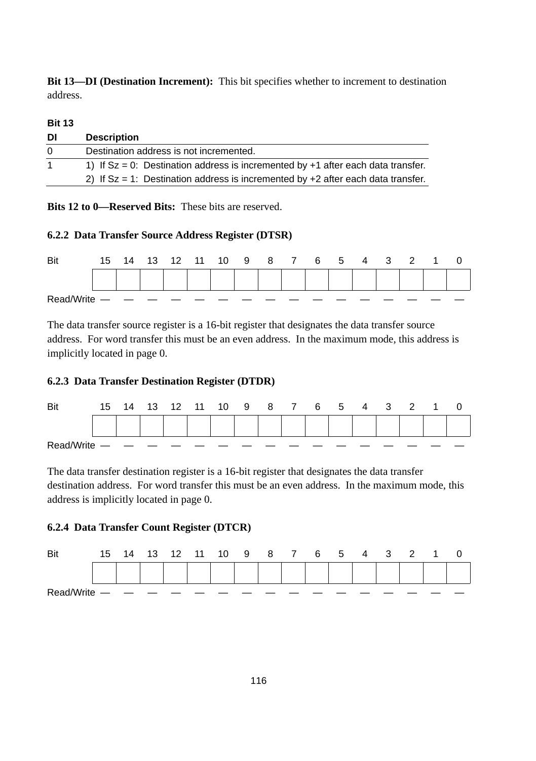**Bit 13—DI (Destination Increment):** This bit specifies whether to increment to destination address.

#### **Bit 13**

| DI  | <b>Description</b>                                                                    |
|-----|---------------------------------------------------------------------------------------|
| - 0 | Destination address is not incremented.                                               |
|     | 1) If $Sz = 0$ : Destination address is incremented by $+1$ after each data transfer. |
|     | 2) If $Sz = 1$ : Destination address is incremented by $+2$ after each data transfer. |

**Bits 12 to 0—Reserved Bits:** These bits are reserved.

#### **6.2.2 Data Transfer Source Address Register (DTSR)**

| Bit        | 15 | 14 | 13 | 12 | 11 | 10 | - 9 | 8 7 | 6 5 4 |  | 3 | -2 |  |
|------------|----|----|----|----|----|----|-----|-----|-------|--|---|----|--|
|            |    |    |    |    |    |    |     |     |       |  |   |    |  |
| Read/Write |    |    |    |    |    |    |     |     |       |  |   |    |  |

The data transfer source register is a 16-bit register that designates the data transfer source address. For word transfer this must be an even address. In the maximum mode, this address is implicitly located in page 0.

#### **6.2.3 Data Transfer Destination Register (DTDR)**



The data transfer destination register is a 16-bit register that designates the data transfer destination address. For word transfer this must be an even address. In the maximum mode, this address is implicitly located in page 0.

#### **6.2.4 Data Transfer Count Register (DTCR)**

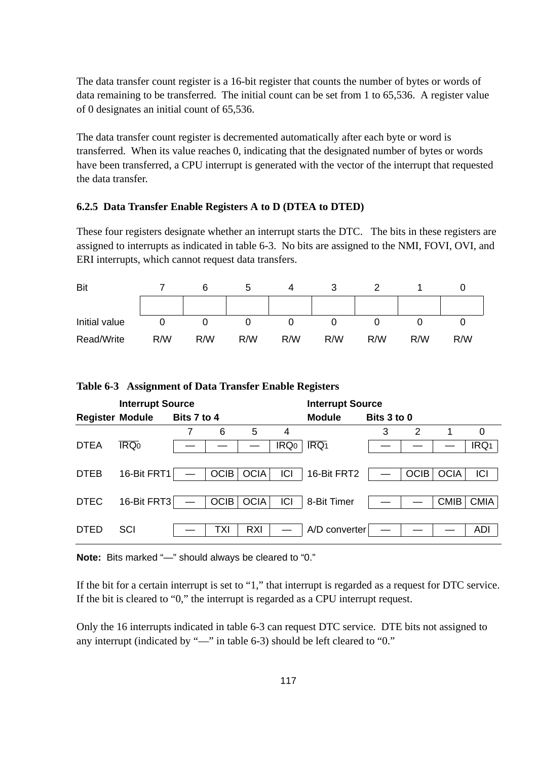The data transfer count register is a 16-bit register that counts the number of bytes or words of data remaining to be transferred. The initial count can be set from 1 to 65,536. A register value of 0 designates an initial count of 65,536.

The data transfer count register is decremented automatically after each byte or word is transferred. When its value reaches 0, indicating that the designated number of bytes or words have been transferred, a CPU interrupt is generated with the vector of the interrupt that requested the data transfer.

#### **6.2.5 Data Transfer Enable Registers A to D (DTEA to DTED)**

These four registers designate whether an interrupt starts the DTC. The bits in these registers are assigned to interrupts as indicated in table 6-3. No bits are assigned to the NMI, FOVI, OVI, and ERI interrupts, which cannot request data transfers.

| Bit           |     |     |     |     | w   |     |     |     |
|---------------|-----|-----|-----|-----|-----|-----|-----|-----|
|               |     |     |     |     |     |     |     |     |
| Initial value |     |     |     |     |     |     |     |     |
| Read/Write    | R/W | R/W | R/W | R/W | R/W | R/W | R/W | R/W |

|  | Table 6-3 Assignment of Data Transfer Enable Registers |  |  |  |  |
|--|--------------------------------------------------------|--|--|--|--|
|--|--------------------------------------------------------|--|--|--|--|

| 0                          |
|----------------------------|
| IRQ <sub>1</sub>           |
|                            |
| ICI                        |
|                            |
| <b>CMIA</b>                |
|                            |
| ADI                        |
| <b>OCIA</b><br><b>CMIB</b> |

**Note:** Bits marked "—" should always be cleared to "0."

If the bit for a certain interrupt is set to "1," that interrupt is regarded as a request for DTC service. If the bit is cleared to "0," the interrupt is regarded as a CPU interrupt request.

Only the 16 interrupts indicated in table 6-3 can request DTC service. DTE bits not assigned to any interrupt (indicated by "—" in table 6-3) should be left cleared to "0."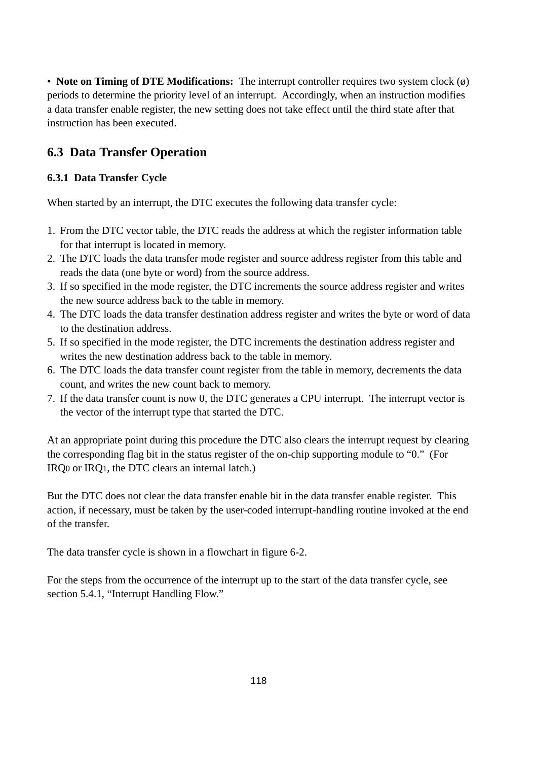• **Note on Timing of DTE Modifications:** The interrupt controller requires two system clock (ø) periods to determine the priority level of an interrupt. Accordingly, when an instruction modifies a data transfer enable register, the new setting does not take effect until the third state after that instruction has been executed.

# **6.3 Data Transfer Operation**

### **6.3.1 Data Transfer Cycle**

When started by an interrupt, the DTC executes the following data transfer cycle:

- 1. From the DTC vector table, the DTC reads the address at which the register information table for that interrupt is located in memory.
- 2. The DTC loads the data transfer mode register and source address register from this table and reads the data (one byte or word) from the source address.
- 3. If so specified in the mode register, the DTC increments the source address register and writes the new source address back to the table in memory.
- 4. The DTC loads the data transfer destination address register and writes the byte or word of data to the destination address.
- 5. If so specified in the mode register, the DTC increments the destination address register and writes the new destination address back to the table in memory.
- 6. The DTC loads the data transfer count register from the table in memory, decrements the data count, and writes the new count back to memory.
- 7. If the data transfer count is now 0, the DTC generates a CPU interrupt. The interrupt vector is the vector of the interrupt type that started the DTC.

At an appropriate point during this procedure the DTC also clears the interrupt request by clearing the corresponding flag bit in the status register of the on-chip supporting module to "0." (For IRQ0 or IRQ1, the DTC clears an internal latch.)

But the DTC does not clear the data transfer enable bit in the data transfer enable register. This action, if necessary, must be taken by the user-coded interrupt-handling routine invoked at the end of the transfer.

The data transfer cycle is shown in a flowchart in figure 6-2.

For the steps from the occurrence of the interrupt up to the start of the data transfer cycle, see section 5.4.1, "Interrupt Handling Flow."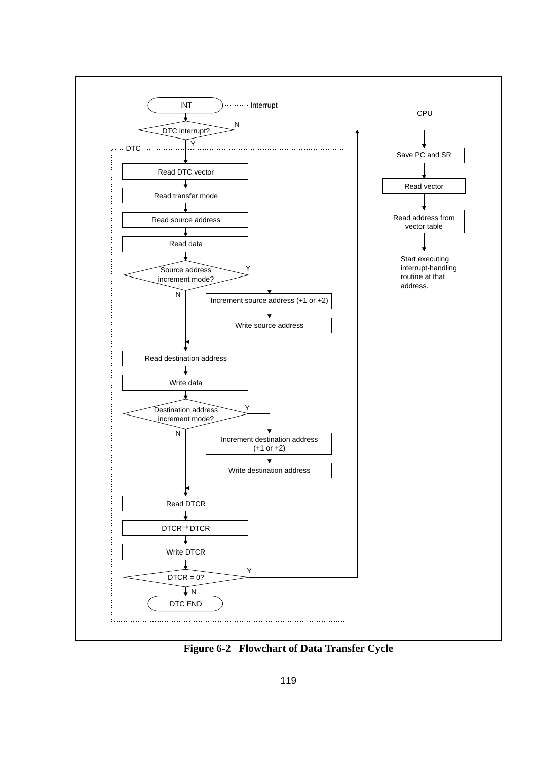

**Figure 6-2 Flowchart of Data Transfer Cycle**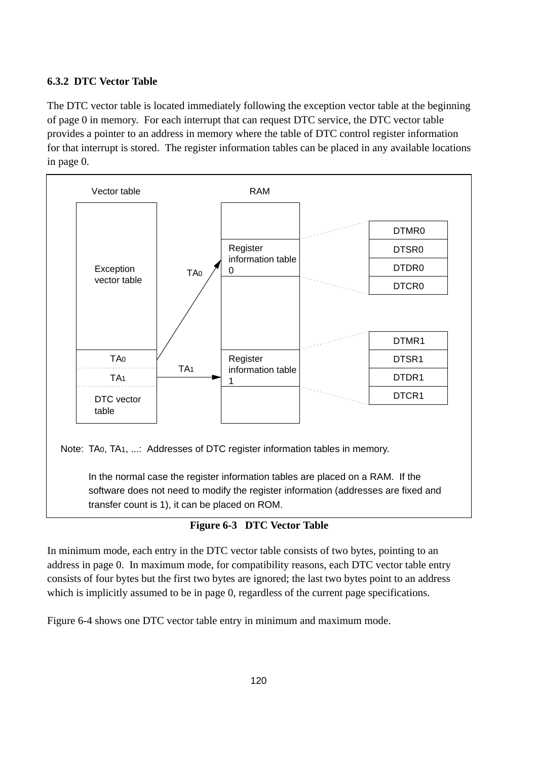#### **6.3.2 DTC Vector Table**

The DTC vector table is located immediately following the exception vector table at the beginning of page 0 in memory. For each interrupt that can request DTC service, the DTC vector table provides a pointer to an address in memory where the table of DTC control register information for that interrupt is stored. The register information tables can be placed in any available locations in page 0.



Note: TA , TA ,... : Addresses of DTC register information tables in memory. 0 1 Note: TA0, TA1, ...: Addresses of DTC register information tables in memory.

> In the normal case the register information tables are placed on a RAM. If the software does not need to modify the register information (addresses are fixed and transfer count is 1), it can be placed on ROM.

#### **Figure 6-3 DTC Vector Table**

In minimum mode, each entry in the DTC vector table consists of two bytes, pointing to an address in page 0. In maximum mode, for compatibility reasons, each DTC vector table entry consists of four bytes but the first two bytes are ignored; the last two bytes point to an address<br>Consists of four bytes but the first two bytes are ignored; the last two bytes point to an address which is implicitly assumed to be in page 0, regardless of the current page specifications.

Figure 6-4 shows one DTC vector table entry in minimum and maximum mode.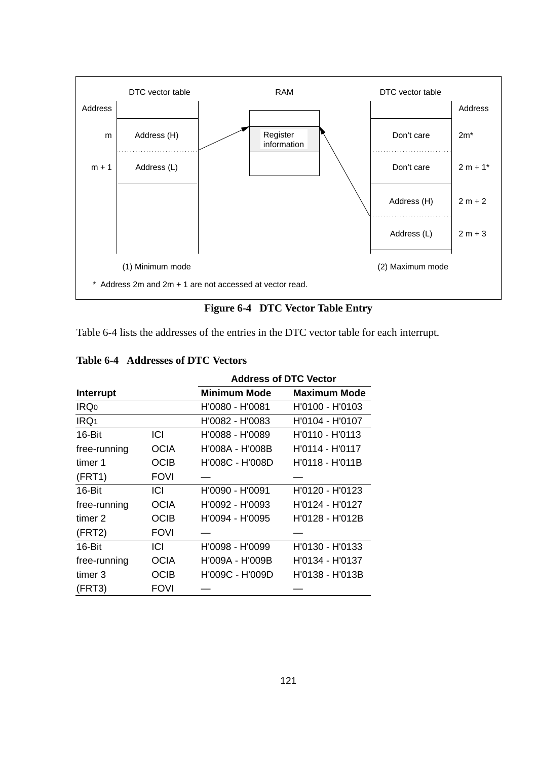

**Figure 6-4 DTC Vector Table Entry**

Table 6-4 lists the addresses of the entries in the DTC vector table for each interrupt.

|                  |             | <b>Address of DTC Vector</b> |                     |  |
|------------------|-------------|------------------------------|---------------------|--|
| Interrupt        |             | <b>Minimum Mode</b>          | <b>Maximum Mode</b> |  |
| IRQ <sub>0</sub> |             | H'0080 - H'0081              | H'0100 - H'0103     |  |
| IRQ <sub>1</sub> |             | H'0082 - H'0083              | H'0104 - H'0107     |  |
| 16-Bit           | ICI         | H'0088 - H'0089              | H'0110 - H'0113     |  |
| free-running     | OCIA        | H'008A - H'008B              | H'0114 - H'0117     |  |
| timer 1          | <b>OCIB</b> | H'008C - H'008D              | H'0118 - H'011B     |  |
| (FRT1)           | <b>FOVI</b> |                              |                     |  |
| 16-Bit           | ICI         | H'0090 - H'0091              | H'0120 - H'0123     |  |
| free-running     | <b>OCIA</b> | H'0092 - H'0093              | H'0124 - H'0127     |  |
| timer 2          | <b>OCIB</b> | H'0094 - H'0095              | H'0128 - H'012B     |  |
| (FRT2)           | <b>FOVI</b> |                              |                     |  |
| 16-Bit           | ICI         | H'0098 - H'0099              | H'0130 - H'0133     |  |
| free-running     | <b>OCIA</b> | H'009A - H'009B              | H'0134 - H'0137     |  |
| timer 3          | <b>OCIB</b> | H'009C - H'009D              | H'0138 - H'013B     |  |
| (FRT3)           | <b>FOVI</b> |                              |                     |  |

#### **Table 6-4 Addresses of DTC Vectors**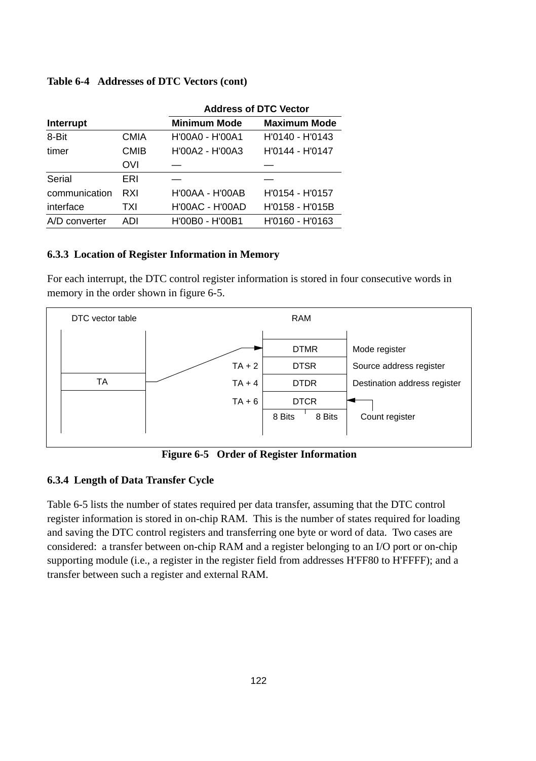|               |             | <b>Address of DTC Vector</b> |                     |  |
|---------------|-------------|------------------------------|---------------------|--|
| Interrupt     |             | <b>Minimum Mode</b>          | <b>Maximum Mode</b> |  |
| 8-Bit         | <b>CMIA</b> | H'00A0 - H'00A1              | H'0140 - H'0143     |  |
| timer         | <b>CMIB</b> | H'00A2 - H'00A3              | H'0144 - H'0147     |  |
|               | <b>OVI</b>  |                              |                     |  |
| Serial        | ERI         |                              |                     |  |
| communication | RXI         | H'00AA - H'00AB              | H'0154 - H'0157     |  |
| interface     | TXI         | <b>H'00AC - H'00AD</b>       | H'0158 - H'015B     |  |
| A/D converter | ADI         | H'00B0 - H'00B1              | H'0160 - H'0163     |  |

#### **Table 6-4 Addresses of DTC Vectors (cont)**

#### **6.3.3 Location of Register Information in Memory**

For each interrupt, the DTC control register information is stored in four consecutive words in memory in the order shown in figure 6-5.



**Figure 6-5 Order of Register Information**

#### **6.3.4 Length of Data Transfer Cycle**

Table 6-5 lists the number of states required per data transfer, assuming that the DTC control register information is stored in on-chip RAM. This is the number of states required for loading and saving the DTC control registers and transferring one byte or word of data. Two cases are considered: a transfer between on-chip RAM and a register belonging to an I/O port or on-chip supporting module (i.e., a register in the register field from addresses H'FF80 to H'FFFF); and a transfer between such a register and external RAM.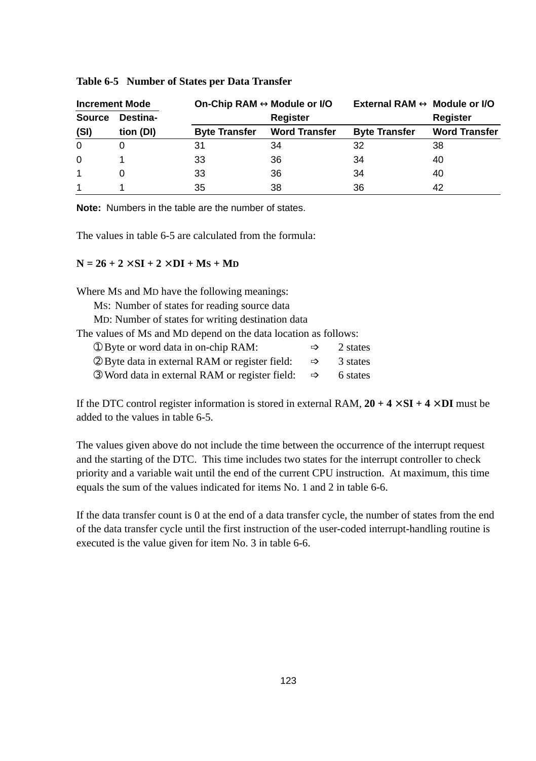| <b>Increment Mode</b> |           | On-Chip RAM ↔ Module or I/O |                      | External RAM $\leftrightarrow$ Module or I/O |                      |
|-----------------------|-----------|-----------------------------|----------------------|----------------------------------------------|----------------------|
| <b>Source</b>         | Destina-  |                             | <b>Register</b>      |                                              | <b>Register</b>      |
| (SI)                  | tion (DI) | <b>Byte Transfer</b>        | <b>Word Transfer</b> | <b>Byte Transfer</b>                         | <b>Word Transfer</b> |
| $\Omega$              |           | 31                          | 34                   | 32                                           | 38                   |
| $\Omega$              |           | 33                          | 36                   | 34                                           | 40                   |
|                       |           | 33                          | 36                   | 34                                           | 40                   |
|                       |           | 35                          | 38                   | 36                                           | 42                   |

#### **Table 6-5 Number of States per Data Transfer**

**Note:** Numbers in the table are the number of states.

The values in table 6-5 are calculated from the formula:

#### $N = 26 + 2 \times SI + 2 \times DI + Ms + Mp$

Where MS and MD have the following meanings:

MS: Number of states for reading source data

MD: Number of states for writing destination data

The values of MS and MD depend on the data location as follows:

| 10 Byte or word data in on-chip RAM: |  | 2 states |
|--------------------------------------|--|----------|
|--------------------------------------|--|----------|

| 2 Byte data in external RAM or register field: |  | 3 states |
|------------------------------------------------|--|----------|
|------------------------------------------------|--|----------|

**③ Word data in external RAM or register field: ⇒** 6 states

If the DTC control register information is stored in external RAM,  $20 + 4 \times SI + 4 \times DI$  must be added to the values in table 6-5.

The values given above do not include the time between the occurrence of the interrupt request and the starting of the DTC. This time includes two states for the interrupt controller to check priority and a variable wait until the end of the current CPU instruction. At maximum, this time equals the sum of the values indicated for items No. 1 and 2 in table 6-6.

If the data transfer count is 0 at the end of a data transfer cycle, the number of states from the end of the data transfer cycle until the first instruction of the user-coded interrupt-handling routine is executed is the value given for item No. 3 in table 6-6.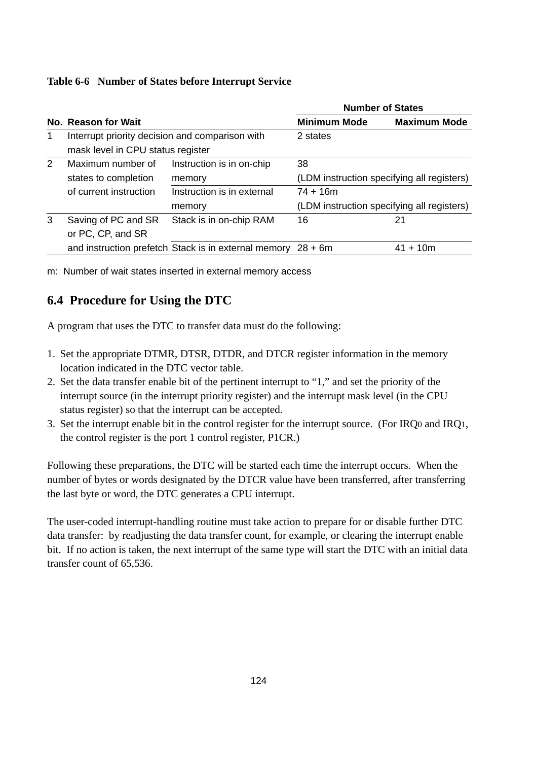#### **Table 6-6 Number of States before Interrupt Service**

|               |                                                                                      |                                                      | <b>Number of States</b> |                                            |  |
|---------------|--------------------------------------------------------------------------------------|------------------------------------------------------|-------------------------|--------------------------------------------|--|
|               | No. Reason for Wait                                                                  |                                                      | <b>Minimum Mode</b>     | <b>Maximum Mode</b>                        |  |
| 1             | Interrupt priority decision and comparison with<br>mask level in CPU status register |                                                      | 2 states                |                                            |  |
| $\mathcal{P}$ | Maximum number of<br>states to completion                                            | Instruction is in on-chip<br>memory                  | 38                      | (LDM instruction specifying all registers) |  |
|               | of current instruction                                                               | Instruction is in external<br>memory                 | $74 + 16m$              | (LDM instruction specifying all registers) |  |
| 3             | Saving of PC and SR<br>or PC, CP, and SR                                             | Stack is in on-chip RAM                              | 16                      | 21                                         |  |
|               |                                                                                      | and instruction prefetch Stack is in external memory | $28 + 6m$               | $41 + 10m$                                 |  |

m: Number of wait states inserted in external memory access

# **6.4 Procedure for Using the DTC**

A program that uses the DTC to transfer data must do the following:

- 1. Set the appropriate DTMR, DTSR, DTDR, and DTCR register information in the memory location indicated in the DTC vector table.
- 2. Set the data transfer enable bit of the pertinent interrupt to "1," and set the priority of the interrupt source (in the interrupt priority register) and the interrupt mask level (in the CPU status register) so that the interrupt can be accepted.
- 3. Set the interrupt enable bit in the control register for the interrupt source. (For IRQ0 and IRQ1, the control register is the port 1 control register, P1CR.)

Following these preparations, the DTC will be started each time the interrupt occurs. When the number of bytes or words designated by the DTCR value have been transferred, after transferring the last byte or word, the DTC generates a CPU interrupt.

The user-coded interrupt-handling routine must take action to prepare for or disable further DTC data transfer: by readjusting the data transfer count, for example, or clearing the interrupt enable bit. If no action is taken, the next interrupt of the same type will start the DTC with an initial data transfer count of 65,536.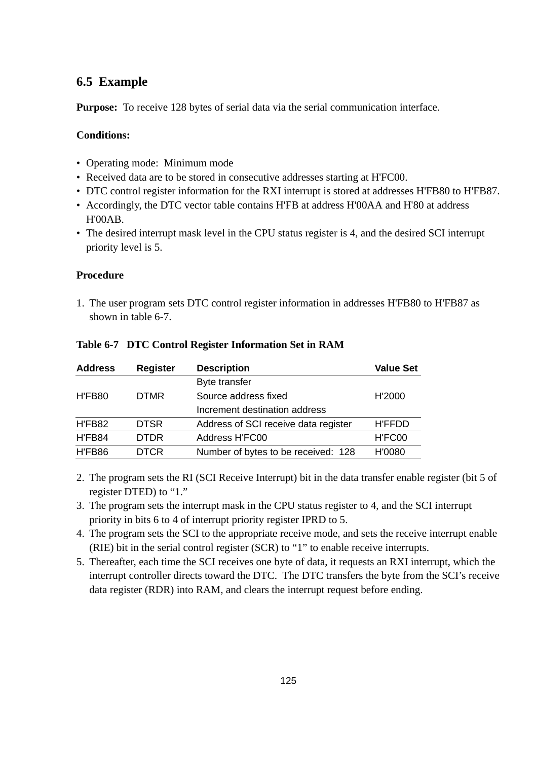### **6.5 Example**

**Purpose:** To receive 128 bytes of serial data via the serial communication interface.

#### **Conditions:**

- Operating mode: Minimum mode
- Received data are to be stored in consecutive addresses starting at H'FC00.
- DTC control register information for the RXI interrupt is stored at addresses H'FB80 to H'FB87.
- Accordingly, the DTC vector table contains H'FB at address H'00AA and H'80 at address H'00AB.
- The desired interrupt mask level in the CPU status register is 4, and the desired SCI interrupt priority level is 5.

#### **Procedure**

1. The user program sets DTC control register information in addresses H'FB80 to H'FB87 as shown in table 6-7.

| <b>Address</b> | <b>Register</b> | <b>Description</b>                   | <b>Value Set</b> |
|----------------|-----------------|--------------------------------------|------------------|
|                |                 | Byte transfer                        |                  |
| H'FB80         | <b>DTMR</b>     | Source address fixed                 | H'2000           |
|                |                 | Increment destination address        |                  |
| H'FB82         | <b>DTSR</b>     | Address of SCI receive data register | <b>H'FFDD</b>    |
| H'FB84         | <b>DTDR</b>     | Address H'FC00                       | H'FC00           |
| H'FB86         | <b>DTCR</b>     | Number of bytes to be received: 128  | H'0080           |

#### **Table 6-7 DTC Control Register Information Set in RAM**

- 2. The program sets the RI (SCI Receive Interrupt) bit in the data transfer enable register (bit 5 of register DTED) to "1."
- 3. The program sets the interrupt mask in the CPU status register to 4, and the SCI interrupt priority in bits 6 to 4 of interrupt priority register IPRD to 5.
- 4. The program sets the SCI to the appropriate receive mode, and sets the receive interrupt enable (RIE) bit in the serial control register (SCR) to "1" to enable receive interrupts.
- 5. Thereafter, each time the SCI receives one byte of data, it requests an RXI interrupt, which the interrupt controller directs toward the DTC. The DTC transfers the byte from the SCI's receive data register (RDR) into RAM, and clears the interrupt request before ending.